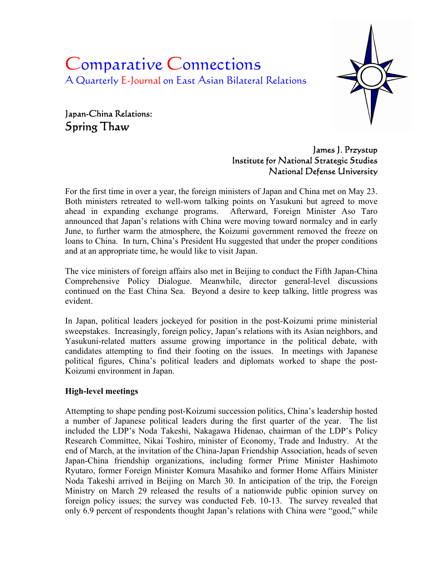# Comparative Connections A Quarterly E-Journal on East Asian Bilateral Relations



Japan-China Relations: Spring Thaw

> James J. Przystup Institute for National Strategic Studies National Defense University

For the first time in over a year, the foreign ministers of Japan and China met on May 23. Both ministers retreated to well-worn talking points on Yasukuni but agreed to move ahead in expanding exchange programs. Afterward, Foreign Minister Aso Taro announced that Japan's relations with China were moving toward normalcy and in early June, to further warm the atmosphere, the Koizumi government removed the freeze on loans to China. In turn, China's President Hu suggested that under the proper conditions and at an appropriate time, he would like to visit Japan.

The vice ministers of foreign affairs also met in Beijing to conduct the Fifth Japan-China Comprehensive Policy Dialogue. Meanwhile, director general-level discussions continued on the East China Sea. Beyond a desire to keep talking, little progress was evident.

In Japan, political leaders jockeyed for position in the post-Koizumi prime ministerial sweepstakes. Increasingly, foreign policy, Japan's relations with its Asian neighbors, and Yasukuni-related matters assume growing importance in the political debate, with candidates attempting to find their footing on the issues. In meetings with Japanese political figures, China's political leaders and diplomats worked to shape the post-Koizumi environment in Japan.

## **High-level meetings**

Attempting to shape pending post-Koizumi succession politics, China's leadership hosted a number of Japanese political leaders during the first quarter of the year. The list included the LDP's Noda Takeshi, Nakagawa Hidenao, chairman of the LDP's Policy Research Committee, Nikai Toshiro, minister of Economy, Trade and Industry. At the end of March, at the invitation of the China-Japan Friendship Association, heads of seven Japan-China friendship organizations, including former Prime Minister Hashimoto Ryutaro, former Foreign Minister Komura Masahiko and former Home Affairs Minister Noda Takeshi arrived in Beijing on March 30. In anticipation of the trip, the Foreign Ministry on March 29 released the results of a nationwide public opinion survey on foreign policy issues; the survey was conducted Feb. 10-13. The survey revealed that only 6.9 percent of respondents thought Japan's relations with China were "good," while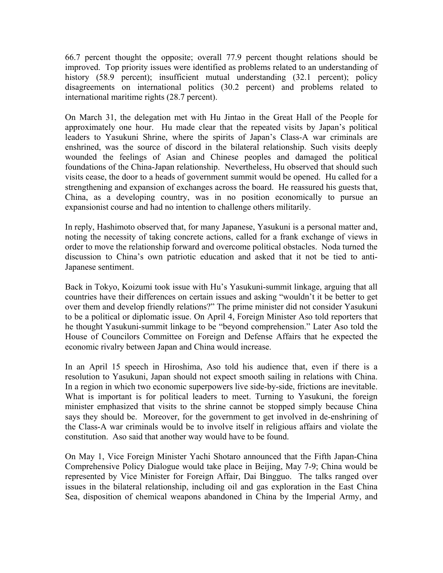66.7 percent thought the opposite; overall 77.9 percent thought relations should be improved. Top priority issues were identified as problems related to an understanding of history (58.9 percent); insufficient mutual understanding (32.1 percent); policy disagreements on international politics (30.2 percent) and problems related to international maritime rights (28.7 percent).

On March 31, the delegation met with Hu Jintao in the Great Hall of the People for approximately one hour. Hu made clear that the repeated visits by Japan's political leaders to Yasukuni Shrine, where the spirits of Japan's Class-A war criminals are enshrined, was the source of discord in the bilateral relationship. Such visits deeply wounded the feelings of Asian and Chinese peoples and damaged the political foundations of the China-Japan relationship. Nevertheless, Hu observed that should such visits cease, the door to a heads of government summit would be opened. Hu called for a strengthening and expansion of exchanges across the board. He reassured his guests that, China, as a developing country, was in no position economically to pursue an expansionist course and had no intention to challenge others militarily.

In reply, Hashimoto observed that, for many Japanese, Yasukuni is a personal matter and, noting the necessity of taking concrete actions, called for a frank exchange of views in order to move the relationship forward and overcome political obstacles. Noda turned the discussion to China's own patriotic education and asked that it not be tied to anti-Japanese sentiment.

Back in Tokyo, Koizumi took issue with Hu's Yasukuni-summit linkage, arguing that all countries have their differences on certain issues and asking "wouldn't it be better to get over them and develop friendly relations?" The prime minister did not consider Yasukuni to be a political or diplomatic issue. On April 4, Foreign Minister Aso told reporters that he thought Yasukuni-summit linkage to be "beyond comprehension." Later Aso told the House of Councilors Committee on Foreign and Defense Affairs that he expected the economic rivalry between Japan and China would increase.

In an April 15 speech in Hiroshima, Aso told his audience that, even if there is a resolution to Yasukuni, Japan should not expect smooth sailing in relations with China. In a region in which two economic superpowers live side-by-side, frictions are inevitable. What is important is for political leaders to meet. Turning to Yasukuni, the foreign minister emphasized that visits to the shrine cannot be stopped simply because China says they should be. Moreover, for the government to get involved in de-enshrining of the Class-A war criminals would be to involve itself in religious affairs and violate the constitution. Aso said that another way would have to be found.

On May 1, Vice Foreign Minister Yachi Shotaro announced that the Fifth Japan-China Comprehensive Policy Dialogue would take place in Beijing, May 7-9; China would be represented by Vice Minister for Foreign Affair, Dai Bingguo. The talks ranged over issues in the bilateral relationship, including oil and gas exploration in the East China Sea, disposition of chemical weapons abandoned in China by the Imperial Army, and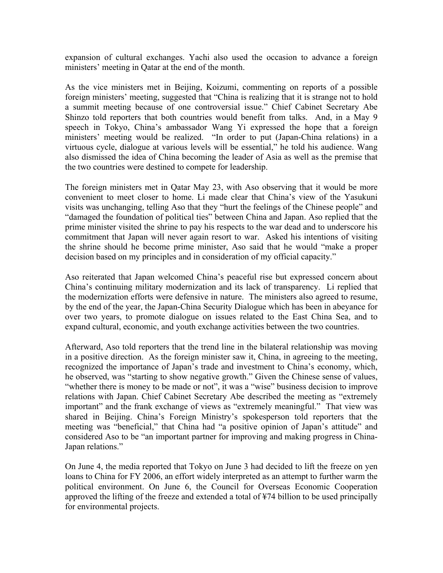expansion of cultural exchanges. Yachi also used the occasion to advance a foreign ministers' meeting in Qatar at the end of the month.

As the vice ministers met in Beijing, Koizumi, commenting on reports of a possible foreign ministers' meeting, suggested that "China is realizing that it is strange not to hold a summit meeting because of one controversial issue." Chief Cabinet Secretary Abe Shinzo told reporters that both countries would benefit from talks. And, in a May 9 speech in Tokyo, China's ambassador Wang Yi expressed the hope that a foreign ministers' meeting would be realized. "In order to put (Japan-China relations) in a virtuous cycle, dialogue at various levels will be essential," he told his audience. Wang also dismissed the idea of China becoming the leader of Asia as well as the premise that the two countries were destined to compete for leadership.

The foreign ministers met in Qatar May 23, with Aso observing that it would be more convenient to meet closer to home. Li made clear that China's view of the Yasukuni visits was unchanging, telling Aso that they "hurt the feelings of the Chinese people" and "damaged the foundation of political ties" between China and Japan. Aso replied that the prime minister visited the shrine to pay his respects to the war dead and to underscore his commitment that Japan will never again resort to war. Asked his intentions of visiting the shrine should he become prime minister, Aso said that he would "make a proper decision based on my principles and in consideration of my official capacity."

Aso reiterated that Japan welcomed China's peaceful rise but expressed concern about China's continuing military modernization and its lack of transparency. Li replied that the modernization efforts were defensive in nature. The ministers also agreed to resume, by the end of the year, the Japan-China Security Dialogue which has been in abeyance for over two years, to promote dialogue on issues related to the East China Sea, and to expand cultural, economic, and youth exchange activities between the two countries.

Afterward, Aso told reporters that the trend line in the bilateral relationship was moving in a positive direction. As the foreign minister saw it, China, in agreeing to the meeting, recognized the importance of Japan's trade and investment to China's economy, which, he observed, was "starting to show negative growth." Given the Chinese sense of values, "whether there is money to be made or not", it was a "wise" business decision to improve relations with Japan. Chief Cabinet Secretary Abe described the meeting as "extremely important" and the frank exchange of views as "extremely meaningful." That view was shared in Beijing. China's Foreign Ministry's spokesperson told reporters that the meeting was "beneficial," that China had "a positive opinion of Japan's attitude" and considered Aso to be "an important partner for improving and making progress in China-Japan relations."

On June 4, the media reported that Tokyo on June 3 had decided to lift the freeze on yen loans to China for FY 2006, an effort widely interpreted as an attempt to further warm the political environment. On June 6, the Council for Overseas Economic Cooperation approved the lifting of the freeze and extended a total of ¥74 billion to be used principally for environmental projects.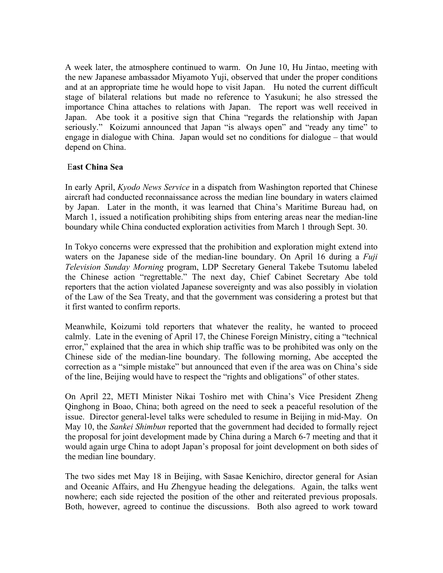A week later, the atmosphere continued to warm. On June 10, Hu Jintao, meeting with the new Japanese ambassador Miyamoto Yuji, observed that under the proper conditions and at an appropriate time he would hope to visit Japan. Hu noted the current difficult stage of bilateral relations but made no reference to Yasukuni; he also stressed the importance China attaches to relations with Japan. The report was well received in Japan. Abe took it a positive sign that China "regards the relationship with Japan seriously." Koizumi announced that Japan "is always open" and "ready any time" to engage in dialogue with China. Japan would set no conditions for dialogue – that would depend on China.

# E**ast China Sea**

In early April, *Kyodo News Service* in a dispatch from Washington reported that Chinese aircraft had conducted reconnaissance across the median line boundary in waters claimed by Japan. Later in the month, it was learned that China's Maritime Bureau had, on March 1, issued a notification prohibiting ships from entering areas near the median-line boundary while China conducted exploration activities from March 1 through Sept. 30.

In Tokyo concerns were expressed that the prohibition and exploration might extend into waters on the Japanese side of the median-line boundary. On April 16 during a *Fuji Television Sunday Morning* program, LDP Secretary General Takebe Tsutomu labeled the Chinese action "regrettable." The next day, Chief Cabinet Secretary Abe told reporters that the action violated Japanese sovereignty and was also possibly in violation of the Law of the Sea Treaty, and that the government was considering a protest but that it first wanted to confirm reports.

Meanwhile, Koizumi told reporters that whatever the reality, he wanted to proceed calmly. Late in the evening of April 17, the Chinese Foreign Ministry, citing a "technical error," explained that the area in which ship traffic was to be prohibited was only on the Chinese side of the median-line boundary. The following morning, Abe accepted the correction as a "simple mistake" but announced that even if the area was on China's side of the line, Beijing would have to respect the "rights and obligations" of other states.

On April 22, METI Minister Nikai Toshiro met with China's Vice President Zheng Qinghong in Boao, China; both agreed on the need to seek a peaceful resolution of the issue. Director general-level talks were scheduled to resume in Beijing in mid-May. On May 10, the *Sankei Shimbun* reported that the government had decided to formally reject the proposal for joint development made by China during a March 6-7 meeting and that it would again urge China to adopt Japan's proposal for joint development on both sides of the median line boundary.

The two sides met May 18 in Beijing, with Sasae Kenichiro, director general for Asian and Oceanic Affairs, and Hu Zhengyue heading the delegations. Again, the talks went nowhere; each side rejected the position of the other and reiterated previous proposals. Both, however, agreed to continue the discussions. Both also agreed to work toward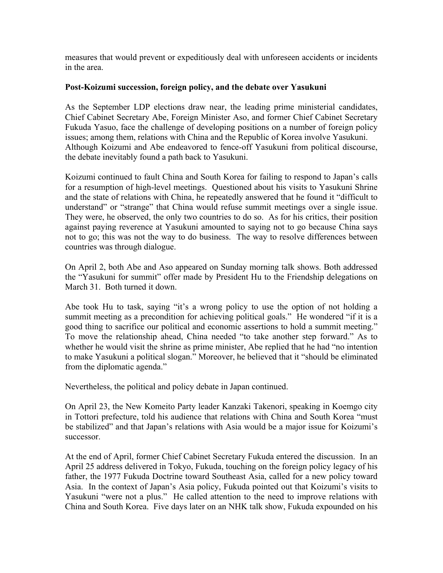measures that would prevent or expeditiously deal with unforeseen accidents or incidents in the area.

#### **Post-Koizumi succession, foreign policy, and the debate over Yasukuni**

As the September LDP elections draw near, the leading prime ministerial candidates, Chief Cabinet Secretary Abe, Foreign Minister Aso, and former Chief Cabinet Secretary Fukuda Yasuo, face the challenge of developing positions on a number of foreign policy issues; among them, relations with China and the Republic of Korea involve Yasukuni. Although Koizumi and Abe endeavored to fence-off Yasukuni from political discourse, the debate inevitably found a path back to Yasukuni.

Koizumi continued to fault China and South Korea for failing to respond to Japan's calls for a resumption of high-level meetings. Questioned about his visits to Yasukuni Shrine and the state of relations with China, he repeatedly answered that he found it "difficult to understand" or "strange" that China would refuse summit meetings over a single issue. They were, he observed, the only two countries to do so. As for his critics, their position against paying reverence at Yasukuni amounted to saying not to go because China says not to go; this was not the way to do business. The way to resolve differences between countries was through dialogue.

On April 2, both Abe and Aso appeared on Sunday morning talk shows. Both addressed the "Yasukuni for summit" offer made by President Hu to the Friendship delegations on March 31. Both turned it down.

Abe took Hu to task, saying "it's a wrong policy to use the option of not holding a summit meeting as a precondition for achieving political goals." He wondered "if it is a good thing to sacrifice our political and economic assertions to hold a summit meeting." To move the relationship ahead, China needed "to take another step forward." As to whether he would visit the shrine as prime minister, Abe replied that he had "no intention to make Yasukuni a political slogan." Moreover, he believed that it "should be eliminated from the diplomatic agenda."

Nevertheless, the political and policy debate in Japan continued.

On April 23, the New Komeito Party leader Kanzaki Takenori, speaking in Koemgo city in Tottori prefecture, told his audience that relations with China and South Korea "must be stabilized" and that Japan's relations with Asia would be a major issue for Koizumi's successor.

At the end of April, former Chief Cabinet Secretary Fukuda entered the discussion. In an April 25 address delivered in Tokyo, Fukuda, touching on the foreign policy legacy of his father, the 1977 Fukuda Doctrine toward Southeast Asia, called for a new policy toward Asia. In the context of Japan's Asia policy, Fukuda pointed out that Koizumi's visits to Yasukuni "were not a plus." He called attention to the need to improve relations with China and South Korea. Five days later on an NHK talk show, Fukuda expounded on his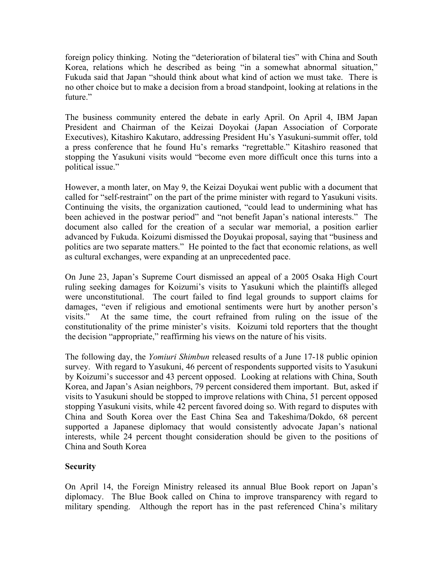foreign policy thinking. Noting the "deterioration of bilateral ties" with China and South Korea, relations which he described as being "in a somewhat abnormal situation," Fukuda said that Japan "should think about what kind of action we must take. There is no other choice but to make a decision from a broad standpoint, looking at relations in the future."

The business community entered the debate in early April. On April 4, IBM Japan President and Chairman of the Keizai Doyokai (Japan Association of Corporate Executives), Kitashiro Kakutaro, addressing President Hu's Yasukuni-summit offer, told a press conference that he found Hu's remarks "regrettable." Kitashiro reasoned that stopping the Yasukuni visits would "become even more difficult once this turns into a political issue."

However, a month later, on May 9, the Keizai Doyukai went public with a document that called for "self-restraint" on the part of the prime minister with regard to Yasukuni visits. Continuing the visits, the organization cautioned, "could lead to undermining what has been achieved in the postwar period" and "not benefit Japan's national interests." The document also called for the creation of a secular war memorial, a position earlier advanced by Fukuda. Koizumi dismissed the Doyukai proposal, saying that "business and politics are two separate matters." He pointed to the fact that economic relations, as well as cultural exchanges, were expanding at an unprecedented pace.

On June 23, Japan's Supreme Court dismissed an appeal of a 2005 Osaka High Court ruling seeking damages for Koizumi's visits to Yasukuni which the plaintiffs alleged were unconstitutional. The court failed to find legal grounds to support claims for damages, "even if religious and emotional sentiments were hurt by another person's visits." At the same time, the court refrained from ruling on the issue of the constitutionality of the prime minister's visits. Koizumi told reporters that the thought the decision "appropriate," reaffirming his views on the nature of his visits.

The following day, the *Yomiuri Shimbun* released results of a June 17-18 public opinion survey. With regard to Yasukuni, 46 percent of respondents supported visits to Yasukuni by Koizumi's successor and 43 percent opposed. Looking at relations with China, South Korea, and Japan's Asian neighbors, 79 percent considered them important. But, asked if visits to Yasukuni should be stopped to improve relations with China, 51 percent opposed stopping Yasukuni visits, while 42 percent favored doing so. With regard to disputes with China and South Korea over the East China Sea and Takeshima/Dokdo, 68 percent supported a Japanese diplomacy that would consistently advocate Japan's national interests, while 24 percent thought consideration should be given to the positions of China and South Korea

## **Security**

On April 14, the Foreign Ministry released its annual Blue Book report on Japan's diplomacy. The Blue Book called on China to improve transparency with regard to military spending. Although the report has in the past referenced China's military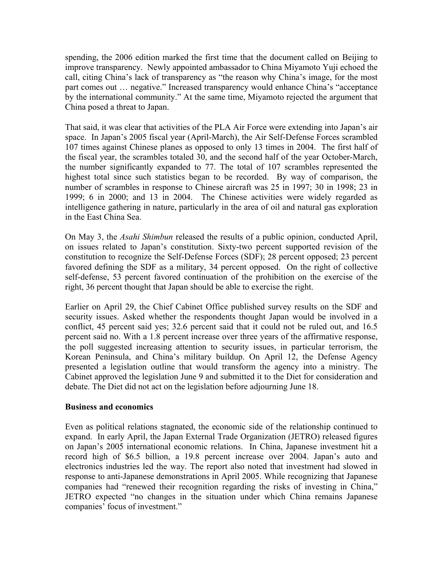spending, the 2006 edition marked the first time that the document called on Beijing to improve transparency. Newly appointed ambassador to China Miyamoto Yuji echoed the call, citing China's lack of transparency as "the reason why China's image, for the most part comes out … negative." Increased transparency would enhance China's "acceptance by the international community." At the same time, Miyamoto rejected the argument that China posed a threat to Japan.

That said, it was clear that activities of the PLA Air Force were extending into Japan's air space. In Japan's 2005 fiscal year (April-March), the Air Self-Defense Forces scrambled 107 times against Chinese planes as opposed to only 13 times in 2004. The first half of the fiscal year, the scrambles totaled 30, and the second half of the year October-March, the number significantly expanded to 77. The total of 107 scrambles represented the highest total since such statistics began to be recorded. By way of comparison, the number of scrambles in response to Chinese aircraft was 25 in 1997; 30 in 1998; 23 in 1999; 6 in 2000; and 13 in 2004. The Chinese activities were widely regarded as intelligence gathering in nature, particularly in the area of oil and natural gas exploration in the East China Sea.

On May 3, the *Asahi Shimbun* released the results of a public opinion, conducted April, on issues related to Japan's constitution. Sixty-two percent supported revision of the constitution to recognize the Self-Defense Forces (SDF); 28 percent opposed; 23 percent favored defining the SDF as a military, 34 percent opposed. On the right of collective self-defense, 53 percent favored continuation of the prohibition on the exercise of the right, 36 percent thought that Japan should be able to exercise the right.

Earlier on April 29, the Chief Cabinet Office published survey results on the SDF and security issues. Asked whether the respondents thought Japan would be involved in a conflict, 45 percent said yes; 32.6 percent said that it could not be ruled out, and 16.5 percent said no. With a 1.8 percent increase over three years of the affirmative response, the poll suggested increasing attention to security issues, in particular terrorism, the Korean Peninsula, and China's military buildup. On April 12, the Defense Agency presented a legislation outline that would transform the agency into a ministry. The Cabinet approved the legislation June 9 and submitted it to the Diet for consideration and debate. The Diet did not act on the legislation before adjourning June 18.

#### **Business and economics**

Even as political relations stagnated, the economic side of the relationship continued to expand. In early April, the Japan External Trade Organization (JETRO) released figures on Japan's 2005 international economic relations. In China, Japanese investment hit a record high of \$6.5 billion, a 19.8 percent increase over 2004. Japan's auto and electronics industries led the way. The report also noted that investment had slowed in response to anti-Japanese demonstrations in April 2005. While recognizing that Japanese companies had "renewed their recognition regarding the risks of investing in China," JETRO expected "no changes in the situation under which China remains Japanese companies' focus of investment."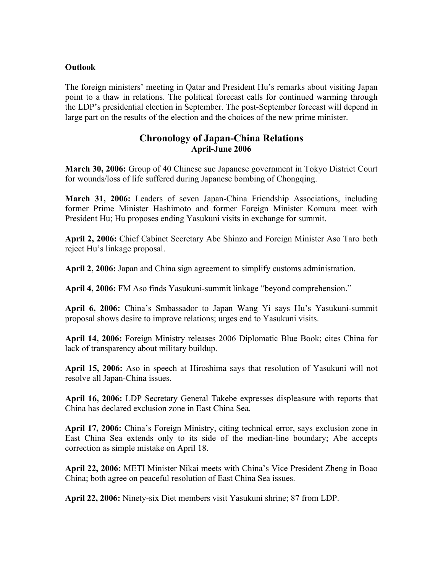#### **Outlook**

The foreign ministers' meeting in Qatar and President Hu's remarks about visiting Japan point to a thaw in relations. The political forecast calls for continued warming through the LDP's presidential election in September. The post-September forecast will depend in large part on the results of the election and the choices of the new prime minister.

# **Chronology of Japan-China Relations April-June 2006**

**March 30, 2006:** Group of 40 Chinese sue Japanese government in Tokyo District Court for wounds/loss of life suffered during Japanese bombing of Chongqing.

**March 31, 2006:** Leaders of seven Japan-China Friendship Associations, including former Prime Minister Hashimoto and former Foreign Minister Komura meet with President Hu; Hu proposes ending Yasukuni visits in exchange for summit.

**April 2, 2006:** Chief Cabinet Secretary Abe Shinzo and Foreign Minister Aso Taro both reject Hu's linkage proposal.

**April 2, 2006:** Japan and China sign agreement to simplify customs administration.

**April 4, 2006:** FM Aso finds Yasukuni-summit linkage "beyond comprehension."

**April 6, 2006:** China's Smbassador to Japan Wang Yi says Hu's Yasukuni-summit proposal shows desire to improve relations; urges end to Yasukuni visits.

**April 14, 2006:** Foreign Ministry releases 2006 Diplomatic Blue Book; cites China for lack of transparency about military buildup.

**April 15, 2006:** Aso in speech at Hiroshima says that resolution of Yasukuni will not resolve all Japan-China issues.

**April 16, 2006:** LDP Secretary General Takebe expresses displeasure with reports that China has declared exclusion zone in East China Sea.

**April 17, 2006:** China's Foreign Ministry, citing technical error, says exclusion zone in East China Sea extends only to its side of the median-line boundary; Abe accepts correction as simple mistake on April 18.

**April 22, 2006:** METI Minister Nikai meets with China's Vice President Zheng in Boao China; both agree on peaceful resolution of East China Sea issues.

**April 22, 2006:** Ninety-six Diet members visit Yasukuni shrine; 87 from LDP.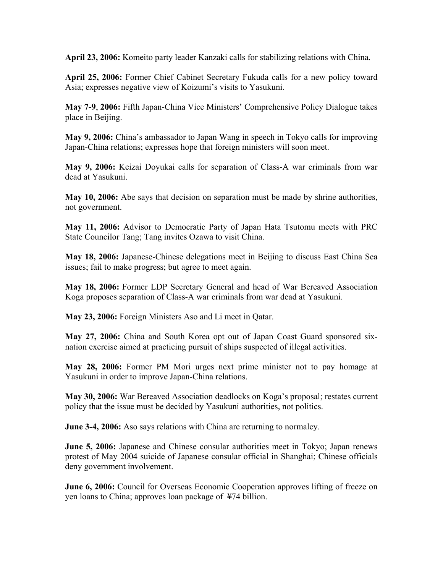**April 23, 2006:** Komeito party leader Kanzaki calls for stabilizing relations with China.

**April 25, 2006:** Former Chief Cabinet Secretary Fukuda calls for a new policy toward Asia; expresses negative view of Koizumi's visits to Yasukuni.

**May 7-9**, **2006:** Fifth Japan-China Vice Ministers' Comprehensive Policy Dialogue takes place in Beijing.

**May 9, 2006:** China's ambassador to Japan Wang in speech in Tokyo calls for improving Japan-China relations; expresses hope that foreign ministers will soon meet.

**May 9, 2006:** Keizai Doyukai calls for separation of Class-A war criminals from war dead at Yasukuni.

**May 10, 2006:** Abe says that decision on separation must be made by shrine authorities, not government.

**May 11, 2006:** Advisor to Democratic Party of Japan Hata Tsutomu meets with PRC State Councilor Tang; Tang invites Ozawa to visit China.

**May 18, 2006:** Japanese-Chinese delegations meet in Beijing to discuss East China Sea issues; fail to make progress; but agree to meet again.

**May 18, 2006:** Former LDP Secretary General and head of War Bereaved Association Koga proposes separation of Class-A war criminals from war dead at Yasukuni.

**May 23, 2006:** Foreign Ministers Aso and Li meet in Qatar.

**May 27, 2006:** China and South Korea opt out of Japan Coast Guard sponsored sixnation exercise aimed at practicing pursuit of ships suspected of illegal activities.

**May 28, 2006:** Former PM Mori urges next prime minister not to pay homage at Yasukuni in order to improve Japan-China relations.

**May 30, 2006:** War Bereaved Association deadlocks on Koga's proposal; restates current policy that the issue must be decided by Yasukuni authorities, not politics.

**June 3-4, 2006:** Aso says relations with China are returning to normalcy.

**June 5, 2006:** Japanese and Chinese consular authorities meet in Tokyo; Japan renews protest of May 2004 suicide of Japanese consular official in Shanghai; Chinese officials deny government involvement.

**June 6, 2006:** Council for Overseas Economic Cooperation approves lifting of freeze on yen loans to China; approves loan package of ¥74 billion.